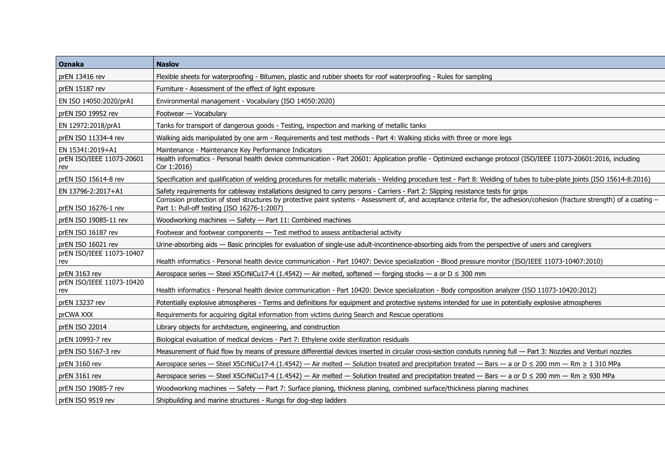| <b>Oznaka</b>                    | <b>Naslov</b>                                                                                                                                                                                                              |  |
|----------------------------------|----------------------------------------------------------------------------------------------------------------------------------------------------------------------------------------------------------------------------|--|
| prEN 13416 rev                   | Flexible sheets for waterproofing - Bitumen, plastic and rubber sheets for roof waterproofing - Rules for sampling                                                                                                         |  |
| prEN 15187 rev                   | Furniture - Assessment of the effect of light exposure                                                                                                                                                                     |  |
| EN ISO 14050:2020/prA1           | Environmental management - Vocabulary (ISO 14050:2020)                                                                                                                                                                     |  |
| prEN ISO 19952 rev               | Footwear - Vocabulary                                                                                                                                                                                                      |  |
| EN 12972:2018/prA1               | Tanks for transport of dangerous goods - Testing, inspection and marking of metallic tanks                                                                                                                                 |  |
| prEN ISO 11334-4 rev             | Walking aids manipulated by one arm - Requirements and test methods - Part 4: Walking sticks with three or more legs                                                                                                       |  |
| EN 15341:2019+A1                 | Maintenance - Maintenance Key Performance Indicators                                                                                                                                                                       |  |
| prEN ISO/IEEE 11073-20601<br>rev | Health informatics - Personal health device communication - Part 20601: Application profile - Optimized exchange protocol (ISO/IEEE 11073-20601:2016, including<br>Cor 1:2016)                                             |  |
| prEN ISO 15614-8 rev             | Specification and qualification of welding procedures for metallic materials - Welding procedure test - Part 8: Welding of tubes to tube-plate joints (ISO 15614-8:2016)                                                   |  |
| EN 13796-2:2017+A1               | Safety requirements for cableway installations designed to carry persons - Carriers - Part 2: Slipping resistance tests for grips                                                                                          |  |
| prEN ISO 16276-1 rev             | Corrosion protection of steel structures by protective paint systems - Assessment of, and acceptance criteria for, the adhesion/cohesion (fracture strength) of a coating -<br>Part 1: Pull-off testing (ISO 16276-1:2007) |  |
| prEN ISO 19085-11 rev            | Woodworking machines - Safety - Part 11: Combined machines                                                                                                                                                                 |  |
| prEN ISO 16187 rev               | Footwear and footwear components - Test method to assess antibacterial activity                                                                                                                                            |  |
| prEN ISO 16021 rev               | Urine-absorbing aids - Basic principles for evaluation of single-use adult-incontinence-absorbing aids from the perspective of users and caregivers                                                                        |  |
| prEN ISO/IEEE 11073-10407<br>rev | Health informatics - Personal health device communication - Part 10407: Device specialization - Blood pressure monitor (ISO/IEEE 11073-10407:2010)                                                                         |  |
| prEN 3163 rev                    | Aerospace series — Steel X5CrNiCu17-4 (1.4542) — Air melted, softened — forging stocks — a or $D \le 300$ mm                                                                                                               |  |
| prEN ISO/IEEE 11073-10420<br>rev | Health informatics - Personal health device communication - Part 10420: Device specialization - Body composition analyzer (ISO 11073-10420:2012)                                                                           |  |
| prEN 13237 rev                   | Potentially explosive atmospheres - Terms and definitions for equipment and protective systems intended for use in potentially explosive atmospheres                                                                       |  |
| prCWA XXX                        | Requirements for acquiring digital information from victims during Search and Rescue operations                                                                                                                            |  |
| prEN ISO 22014                   | Library objects for architecture, engineering, and construction                                                                                                                                                            |  |
| prEN 10993-7 rev                 | Biological evaluation of medical devices - Part 7: Ethylene oxide sterilization residuals                                                                                                                                  |  |
| prEN ISO 5167-3 rev              | Measurement of fluid flow by means of pressure differential devices inserted in circular cross-section conduits running full - Part 3: Nozzles and Venturi nozzles                                                         |  |
| prEN 3160 rev                    | Aerospace series - Steel X5CrNiCu17-4 (1.4542) - Air melted - Solution treated and precipitation treated - Bars - a or $D \le 200$ mm - Rm $\ge 1$ 310 MPa                                                                 |  |
| prEN 3161 rev                    | Aerospace series - Steel X5CrNiCu17-4 (1.4542) - Air melted - Solution treated and precipitation treated - Bars - a or D ≤ 200 mm - Rm ≥ 930 MPa                                                                           |  |
| prEN ISO 19085-7 rev             | Woodworking machines — Safety — Part 7: Surface planing, thickness planing, combined surface/thickness planing machines                                                                                                    |  |
| prEN ISO 9519 rev                | Shipbuilding and marine structures - Rungs for dog-step ladders                                                                                                                                                            |  |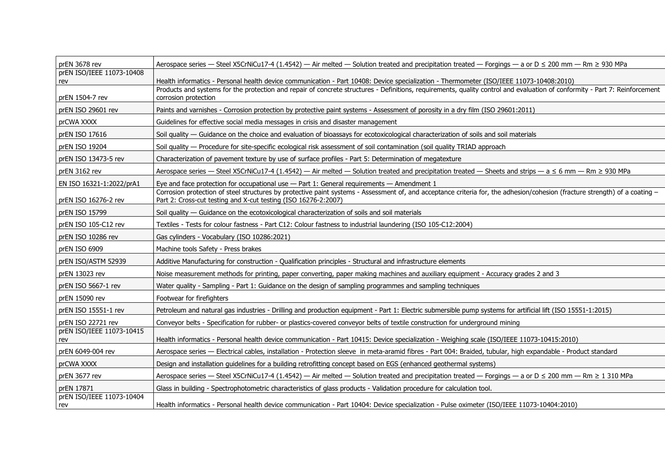| prEN 3678 rev                    | Aerospace series - Steel X5CrNiCu17-4 (1.4542) - Air melted - Solution treated and precipitation treated - Forgings - a or D $\leq$ 200 mm - Rm $\geq$ 930 MPa                                                                                                                                                         |  |
|----------------------------------|------------------------------------------------------------------------------------------------------------------------------------------------------------------------------------------------------------------------------------------------------------------------------------------------------------------------|--|
| prEN ISO/IEEE 11073-10408        |                                                                                                                                                                                                                                                                                                                        |  |
| rev                              | Health informatics - Personal health device communication - Part 10408: Device specialization - Thermometer (ISO/IEEE 11073-10408:2010)<br>Products and systems for the protection and repair of concrete structures - Definitions, requirements, quality control and evaluation of conformity - Part 7: Reinforcement |  |
| prEN 1504-7 rev                  | corrosion protection                                                                                                                                                                                                                                                                                                   |  |
| prEN ISO 29601 rev               | Paints and varnishes - Corrosion protection by protective paint systems - Assessment of porosity in a dry film (ISO 29601:2011)                                                                                                                                                                                        |  |
| prCWA XXXX                       | Guidelines for effective social media messages in crisis and disaster management                                                                                                                                                                                                                                       |  |
| prEN ISO 17616                   | Soil quality - Guidance on the choice and evaluation of bioassays for ecotoxicological characterization of soils and soil materials                                                                                                                                                                                    |  |
| prEN ISO 19204                   | Soil quality - Procedure for site-specific ecological risk assessment of soil contamination (soil quality TRIAD approach                                                                                                                                                                                               |  |
| prEN ISO 13473-5 rev             | Characterization of pavement texture by use of surface profiles - Part 5: Determination of megatexture                                                                                                                                                                                                                 |  |
| prEN 3162 rev                    | Aerospace series — Steel X5CrNiCu17-4 (1.4542) — Air melted — Solution treated and precipitation treated — Sheets and strips — $a \le 6$ mm — Rm $\ge 930$ MPa                                                                                                                                                         |  |
| EN ISO 16321-1:2022/prA1         | Eye and face protection for occupational use $-$ Part 1: General requirements $-$ Amendment 1                                                                                                                                                                                                                          |  |
| prEN ISO 16276-2 rev             | Corrosion protection of steel structures by protective paint systems - Assessment of, and acceptance criteria for, the adhesion/cohesion (fracture strength) of a coating -<br>Part 2: Cross-cut testing and X-cut testing (ISO 16276-2:2007)                                                                          |  |
| prEN ISO 15799                   | Soil quality — Guidance on the ecotoxicological characterization of soils and soil materials                                                                                                                                                                                                                           |  |
| prEN ISO 105-C12 rev             | Textiles - Tests for colour fastness - Part C12: Colour fastness to industrial laundering (ISO 105-C12:2004)                                                                                                                                                                                                           |  |
| prEN ISO 10286 rev               | Gas cylinders - Vocabulary (ISO 10286:2021)                                                                                                                                                                                                                                                                            |  |
| prEN ISO 6909                    | Machine tools Safety - Press brakes                                                                                                                                                                                                                                                                                    |  |
| prEN ISO/ASTM 52939              | Additive Manufacturing for construction - Qualification principles - Structural and infrastructure elements                                                                                                                                                                                                            |  |
| prEN 13023 rev                   | Noise measurement methods for printing, paper converting, paper making machines and auxiliary equipment - Accuracy grades 2 and 3                                                                                                                                                                                      |  |
| prEN ISO 5667-1 rev              | Water quality - Sampling - Part 1: Guidance on the design of sampling programmes and sampling techniques                                                                                                                                                                                                               |  |
| prEN 15090 rev                   | Footwear for firefighters                                                                                                                                                                                                                                                                                              |  |
| prEN ISO 15551-1 rev             | Petroleum and natural gas industries - Drilling and production equipment - Part 1: Electric submersible pump systems for artificial lift (ISO 15551-1:2015)                                                                                                                                                            |  |
| prEN ISO 22721 rev               | Conveyor belts - Specification for rubber- or plastics-covered conveyor belts of textile construction for underground mining                                                                                                                                                                                           |  |
| prEN ISO/IEEE 11073-10415<br>rev | Health informatics - Personal health device communication - Part 10415: Device specialization - Weighing scale (ISO/IEEE 11073-10415:2010)                                                                                                                                                                             |  |
| prEN 6049-004 rev                | Aerospace series - Electrical cables, installation - Protection sleeve in meta-aramid fibres - Part 004: Braided, tubular, high expandable - Product standard                                                                                                                                                          |  |
| prCWA XXXX                       | Design and installation guidelines for a building retrofitting concept based on EGS (enhanced geothermal systems)                                                                                                                                                                                                      |  |
| prEN 3677 rev                    | Aerospace series - Steel X5CrNiCu17-4 (1.4542) - Air melted - Solution treated and precipitation treated - Forgings - a or D ≤ 200 mm - Rm ≥ 1 310 MPa                                                                                                                                                                 |  |
| prEN 17871                       | Glass in building - Spectrophotometric characteristics of glass products - Validation procedure for calculation tool.                                                                                                                                                                                                  |  |
| prEN ISO/IEEE 11073-10404<br>rev | Health informatics - Personal health device communication - Part 10404: Device specialization - Pulse oximeter (ISO/IEEE 11073-10404:2010)                                                                                                                                                                             |  |